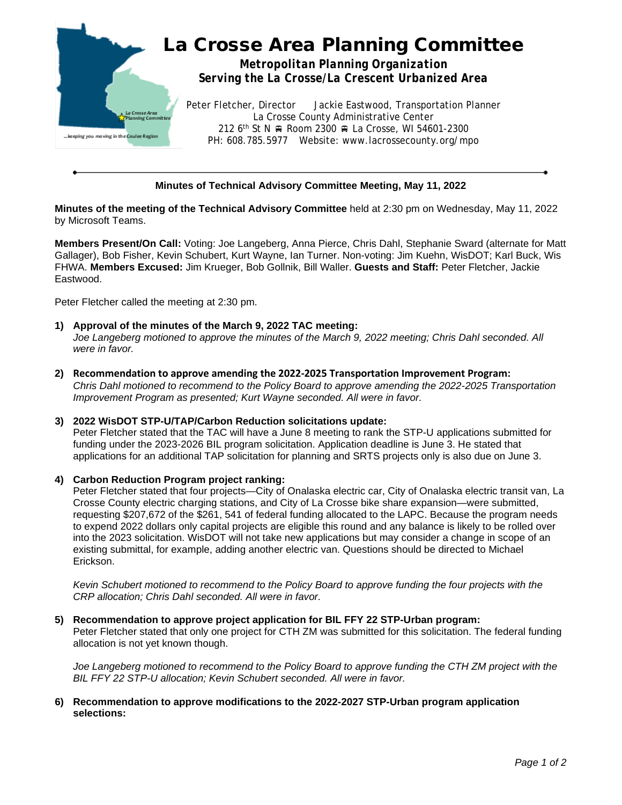

# **Minutes of Technical Advisory Committee Meeting, May 11, 2022**

**Minutes of the meeting of the Technical Advisory Committee** held at 2:30 pm on Wednesday, May 11, 2022 by Microsoft Teams.

**Members Present/On Call:** Voting: Joe Langeberg, Anna Pierce, Chris Dahl, Stephanie Sward (alternate for Matt Gallager), Bob Fisher, Kevin Schubert, Kurt Wayne, Ian Turner. Non-voting: Jim Kuehn, WisDOT; Karl Buck, Wis FHWA. **Members Excused:** Jim Krueger, Bob Gollnik, Bill Waller. **Guests and Staff:** Peter Fletcher, Jackie Eastwood.

Peter Fletcher called the meeting at 2:30 pm.

- **1) Approval of the minutes of the March 9, 2022 TAC meeting:** *Joe Langeberg motioned to approve the minutes of the March 9, 2022 meeting; Chris Dahl seconded. All were in favor.*
- **2) Recommendation to approve amending the 2022-2025 Transportation Improvement Program:** *Chris Dahl motioned to recommend to the Policy Board to approve amending the 2022-2025 Transportation Improvement Program as presented; Kurt Wayne seconded. All were in favor.*

#### **3) 2022 WisDOT STP-U/TAP/Carbon Reduction solicitations update:**

Peter Fletcher stated that the TAC will have a June 8 meeting to rank the STP-U applications submitted for funding under the 2023-2026 BIL program solicitation. Application deadline is June 3. He stated that applications for an additional TAP solicitation for planning and SRTS projects only is also due on June 3.

### **4) Carbon Reduction Program project ranking:**

Peter Fletcher stated that four projects—City of Onalaska electric car, City of Onalaska electric transit van, La Crosse County electric charging stations, and City of La Crosse bike share expansion—were submitted, requesting \$207,672 of the \$261, 541 of federal funding allocated to the LAPC. Because the program needs to expend 2022 dollars only capital projects are eligible this round and any balance is likely to be rolled over into the 2023 solicitation. WisDOT will not take new applications but may consider a change in scope of an existing submittal, for example, adding another electric van. Questions should be directed to Michael Erickson.

*Kevin Schubert motioned to recommend to the Policy Board to approve funding the four projects with the CRP allocation; Chris Dahl seconded. All were in favor.*

#### **5) Recommendation to approve project application for BIL FFY 22 STP-Urban program:**

Peter Fletcher stated that only one project for CTH ZM was submitted for this solicitation. The federal funding allocation is not yet known though.

*Joe Langeberg motioned to recommend to the Policy Board to approve funding the CTH ZM project with the BIL FFY 22 STP-U allocation; Kevin Schubert seconded. All were in favor.*

### **6) Recommendation to approve modifications to the 2022-2027 STP-Urban program application selections:**